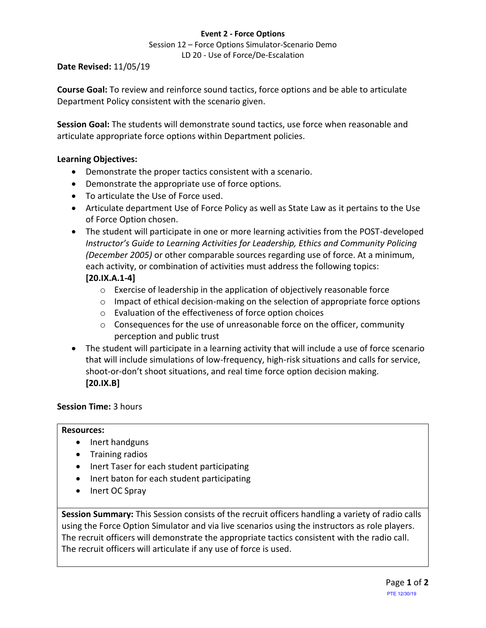### **Event 2 - Force Options**

Session 12 – Force Options Simulator-Scenario Demo LD 20 - Use of Force/De-Escalation

### **Date Revised:** 11/05/19

**Course Goal:** To review and reinforce sound tactics, force options and be able to articulate Department Policy consistent with the scenario given.

**Session Goal:** The students will demonstrate sound tactics, use force when reasonable and articulate appropriate force options within Department policies.

# **Learning Objectives:**

- Demonstrate the proper tactics consistent with a scenario.
- Demonstrate the appropriate use of force options.
- To articulate the Use of Force used.
- Articulate department Use of Force Policy as well as State Law as it pertains to the Use of Force Option chosen.
- The student will participate in one or more learning activities from the POST-developed *Instructor's Guide to Learning Activities for Leadership, Ethics and Community Policing (December 2005)* or other comparable sources regarding use of force. At a minimum, each activity, or combination of activities must address the following topics: **[20.IX.A.1-4]**
	- o Exercise of leadership in the application of objectively reasonable force
	- $\circ$  Impact of ethical decision-making on the selection of appropriate force options
	- o Evaluation of the effectiveness of force option choices
	- o Consequences for the use of unreasonable force on the officer, community perception and public trust
- The student will participate in a learning activity that will include a use of force scenario that will include simulations of low-frequency, high-risk situations and calls for service, shoot-or-don't shoot situations, and real time force option decision making. **[20.IX.B]**

# **Session Time:** 3 hours

#### **Resources:**

- Inert handguns
- Training radios
- Inert Taser for each student participating
- Inert baton for each student participating
- Inert OC Spray

**Session Summary:** This Session consists of the recruit officers handling a variety of radio calls using the Force Option Simulator and via live scenarios using the instructors as role players. The recruit officers will demonstrate the appropriate tactics consistent with the radio call. The recruit officers will articulate if any use of force is used.